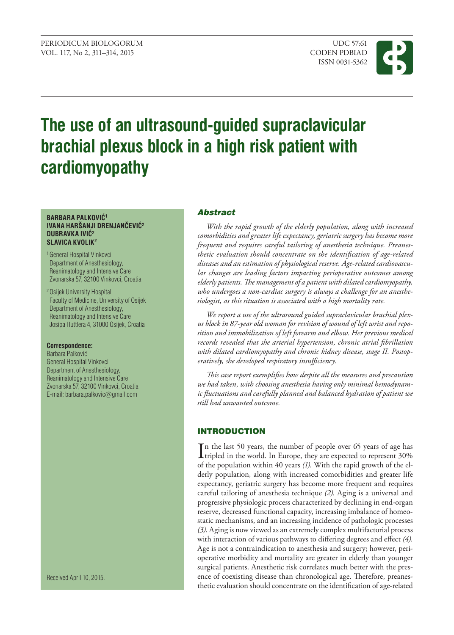

# **The use of an ultrasound-guided supraclavicular brachial plexus block in a high risk patient with cardiomyopathy**

#### **BARBARA PALKOVIĆ<sup>1</sup> IVANA HARŠANJI DRENJANČEVIĆ<sup>2</sup> DUBRAVKA IVIĆ<sup>2</sup> SLAVICA KVOLIK2**

- 1 General Hospital Vinkovci Department of Anesthesiology, Reanimatology and Intensive Care Zvonarska 57, 32100 Vinkovci, Croatia
- 2 Osijek University Hospital Faculty of Medicine, University of Osijek Department of Anesthesiology, Reanimatology and Intensive Care Josipa Huttlera 4, 31000 Osijek, Croatia

## **Correspondence:**

Barbara Palković General Hospital Vinkovci Department of Anesthesiology, Reanimatology and Intensive Care Zvonarska 57, 32100 Vinkovci, Croatia E-mail: barbara.palkovic@gmail.com

Received April 10, 2015.

## Abstract

*With the rapid growth of the elderly population, along with increased comorbidities and greater life expectancy, geriatric surgery has become more frequent and requires careful tailoring of anesthesia technique. Preanesthetic evaluation should concentrate on the identification of age-related diseases and an estimation of physiological reserve. Age-related cardiovascular changes are leading factors impacting perioperative outcomes among elderly patients. The management of a patient with dilated cardiomyopathy, who undergoes a non-cardiac surgery is always a challenge for an anesthesiologist, as this situation is associated with a high mortality rate.* 

*We report a use of the ultrasound guided supraclavicular brachial plexus block in 87-year old woman for revision of wound of left wrist and reposition and immobilization of left forearm and elbow. Her previous medical records revealed that she arterial hypertension, chronic atrial fibrillation with dilated cardiomyopathy and chronic kidney disease, stage II. Postoperatively, she developed respiratory insufficiency.*

*This case report exemplifies how despite all the measures and precaution we had taken, with choosing anesthesia having only minimal hemodynamic fluctuations and carefully planned and balanced hydration of patient we still had unwanted outcome.*

## **INTRODUCTION**

In the last 50 years, the number of people over 65 years of age has<br>tripled in the world. In Europe, they are expected to represent  $30\%$ tripled in the world. In Europe, they are expected to represent 30% of the population within 40 years *(1).* With the rapid growth of the elderly population, along with increased comorbidities and greater life expectancy, geriatric surgery has become more frequent and requires careful tailoring of anesthesia technique *(2).* Aging is a universal and progressive physiologic process characterized by declining in end-organ reserve, decreased functional capacity, increasing imbalance of homeostatic mechanisms, and an increasing incidence of pathologic processes *(3).* Aging is now viewed as an extremely complex multifactorial process with interaction of various pathways to differing degrees and effect *(4).* Age is not a contraindication to anesthesia and surgery; however, perioperative morbidity and mortality are greater in elderly than younger surgical patients. Anesthetic risk correlates much better with the presence of coexisting disease than chronological age. Therefore, preanesthetic evaluation should concentrate on the identification of age-related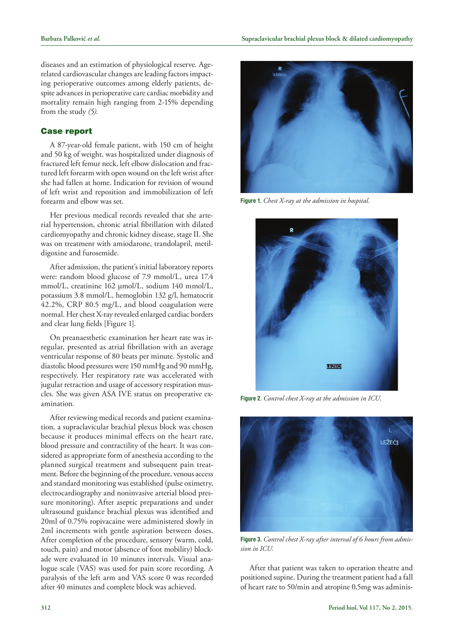diseases and an estimation of physiological reserve. Agerelated cardiovascular changes are leading factors impacting perioperative outcomes among elderly patients, despite advances in perioperative care cardiac morbidity and mortality remain high ranging from 2-15% depending from the study *(5).*

## Case report

A 87-year-old female patient, with 150 cm of height and 50 kg of weight, was hospitalized under diagnosis of fractured left femur neck, left elbow dislocation and fractured left forearm with open wound on the left wrist after she had fallen at home. Indication for revision of wound of left wrist and reposition and immobilization of left forearm and elbow was set.

Her previous medical records revealed that she arterial hypertension, chronic atrial fibrillation with dilated cardiomyopathy and chronic kidney disease, stage II. She was on treatment with amiodarone, trandolapril, metildigoxine and furosemide.

After admission, the patient's initial laboratory reports were: random blood glucose of 7.9 mmol/L, urea 17.4 mmol/L, creatinine 162 µmol/L, sodium 140 mmol/L, potassium 3.8 mmol/L, hemoglobin 132 g/l, hematocrit 42.2%, CRP 80.5 mg/L, and blood coagulation were normal. Her chest X-ray revealed enlarged cardiac borders and clear lung fields [Figure 1].

On preanaesthetic examination her heart rate was irregular, presented as atrial fibrillation with an average ventricular response of 80 beats per minute. Systolic and diastolic blood pressures were 150 mmHg and 90 mmHg, respectively. Her respiratory rate was accelerated with jugular retraction and usage of accessory respiration muscles. She was given ASA IVE status on preoperative examination.

After reviewing medical records and patient examination, a supraclavicular brachial plexus block was chosen because it produces minimal effects on the heart rate, blood pressure and contractility of the heart. It was considered as appropriate form of anesthesia according to the planned surgical treatment and subsequent pain treatment. Before the beginning of the procedure, venous access and standard monitoring was established (pulse oximetry, electrocardiography and noninvasive arterial blood pressure monitoring). After aseptic preparations and under ultrasound guidance brachial plexus was identified and 20ml of 0.75% ropivacaine were administered slowly in 2ml increments with gentle aspiration between doses. After completion of the procedure, sensory (warm, cold, touch, pain) and motor (absence of foot mobility) blockade were evaluated in 10 minutes intervals. Visual analogue scale (VAS) was used for pain score recording. A paralysis of the left arm and VAS score 0 was recorded after 40 minutes and complete block was achieved.



**Figure 1.** *Chest X-ray at the admission in hospital.*



**Figure 2.** *Control chest X-ray at the admission in ICU.*



**Figure 3.** *Control chest X-ray after interval of 6 hours from admission in ICU.*

After that patient was taken to operation theatre and positioned supine. During the treatment patient had a fall of heart rate to 50/min and atropine 0.5mg was adminis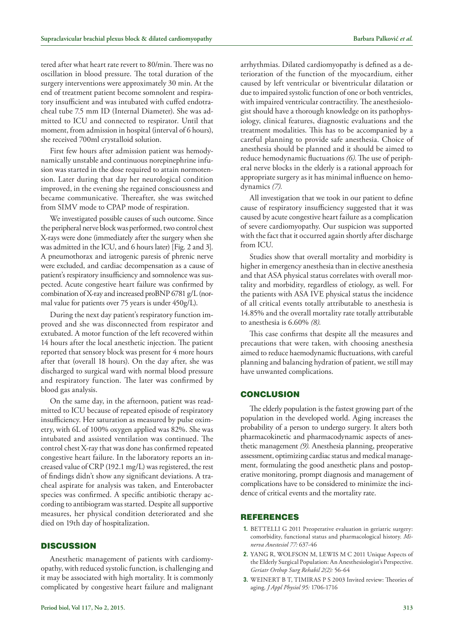tered after what heart rate revert to 80/min. There was no oscillation in blood pressure. The total duration of the surgery interventions were approximately 30 min. At the end of treatment patient become somnolent and respiratory insufficient and was intubated with cuffed endotracheal tube 7.5 mm ID (Internal Diameter). She was admitted to ICU and connected to respirator. Until that moment, from admission in hospital (interval of 6 hours), she received 700ml crystalloid solution.

First few hours after admission patient was hemodynamically unstable and continuous norepinephrine infusion was started in the dose required to attain normotension. Later during that day her neurological condition improved, in the evening she regained consciousness and became communicative. Thereafter, she was switched from SIMV mode to CPAP mode of respiration.

We investigated possible causes of such outcome. Since the peripheral nerve block was performed, two control chest X-rays were done (immediately after the surgery when she was admitted in the ICU, and 6 hours later) [Fig. 2 and 3]. A pneumothorax and iatrogenic paresis of phrenic nerve were excluded, and cardiac decompensation as a cause of patient's respiratory insufficiency and somnolence was suspected. Acute [congestive heart failure](http://en.wikipedia.org/wiki/Congestive_heart_failure) was confirmed by combination of X-ray and increased proBNP 6781 g/L (normal value for patients over 75 years is under 450g/L).

During the next day patient's respiratory function improved and she was disconnected from respirator and extubated. A motor function of the left recovered within 14 hours after the local anesthetic injection. The patient reported that sensory block was present for 4 more hours after that (overall 18 hours). On the day after, she was discharged to surgical ward with normal blood pressure and respiratory function. The later was confirmed by blood gas analysis.

On the same day, in the afternoon, patient was readmitted to ICU because of repeated episode of respiratory insufficiency. Her saturation as measured by pulse oximetry, with 6L of 100% oxygen applied was 82%. She was intubated and assisted ventilation was continued. The control chest X-ray that was done has confirmed repeated [congestive heart failure](http://en.wikipedia.org/wiki/Congestive_heart_failure). In the laboratory reports an increased value of CRP (192.1 mg/L) was registered, the rest of findings didn't show any significant deviations. A tracheal aspirate for analysis was taken, and Enterobacter species was confirmed. A specific antibiotic therapy according to antibiogram was started. Despite all supportive measures, her physical condition deteriorated and she died on 19th day of hospitalization.

## **DISCUSSION**

Anesthetic management of patients with cardiomyopathy, with reduced systolic function, is challenging and it may be associated with high mortality. It is commonly complicated by congestive heart failure and malignant arrhythmias. Dilated cardiomyopathy is defined as a deterioration of the function of the myocardium, either caused by left ventricular or biventricular dilatation or due to impaired systolic function of one or both ventricles, with impaired ventricular contractility. The anesthesiologist should have a thorough knowledge on its pathophysiology, clinical features, diagnostic evaluations and the treatment modalities. This has to be accompanied by a careful planning to provide safe anesthesia. Choice of anesthesia should be planned and it should be aimed to reduce hemodynamic fluctuations *(6).*The use of peripheral nerve blocks in the elderly is a rational approach for appropriate surgery as it has minimal influence on hemodynamics *(7).*

All investigation that we took in our patient to define cause of respiratory insufficiency suggested that it was caused by acute congestive heart failure as a complication of severe cardiomyopathy. Our suspicion was supported with the fact that it occurred again shortly after discharge from ICU.

Studies show that overall mortality and morbidity is higher in emergency anesthesia than in elective anesthesia and that ASA physical status correlates with overall mortality and morbidity, regardless of etiology, as well. For the patients with ASA IVE physical status the incidence of all critical events totally attributable to anesthesia is 14.85% and the overall mortality rate totally attributable to anesthesia is 6.60% *(8).* 

This case confirms that despite all the measures and precautions that were taken, with choosing anesthesia aimed to reduce haemodynamic fluctuations, with careful planning and balancing hydration of patient, we still may have unwanted complications.

### **CONCLUSION**

The elderly population is the fastest growing part of the population in the developed world. Aging increases the probability of a person to undergo surgery. It alters both pharmacokinetic and pharmacodynamic aspects of anesthetic management *(9).* Anesthesia planning, preoperative assessment, optimizing cardiac status and medical management, formulating the good anesthetic plans and postoperative monitoring, prompt diagnosis and management of complications have to be considered to minimize the incidence of critical events and the mortality rate.

## **REFERENCES**

- **1.** BETTELLI G 2011 Preoperative evaluation in geriatric surgery: comorbidity, functional status and pharmacological history. *Minerva Anestesiol 77:* 637-46
- **2.** YANG R, WOLFSON M, LEWIS M C 2011 Unique Aspects of the Elderly Surgical Population: An Anesthesiologist's Perspective. *Geriatr Orthop Surg Rehabil 2(2):* 56-64
- **3.** WEINERT B T, TIMIRAS P S 2003 Invited review: Theories of aging. *J Appl Physiol 95:* 1706-1716